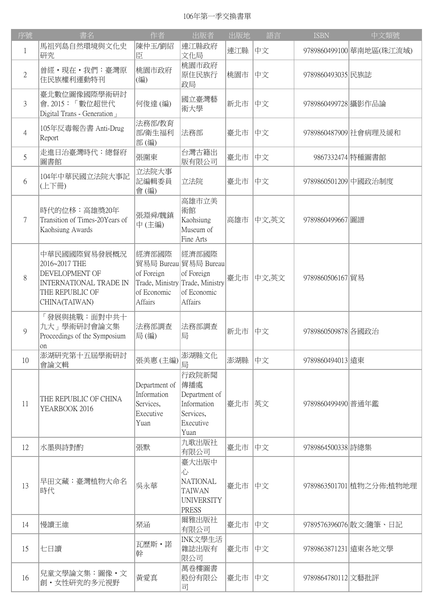## 106年第一季交換書單

| 序號             | 書名                                                                                                                   | 作者                                                                               | 出版者                                                                                 | 出版地 | 語言    | <b>ISBN</b>          | 中文類號                     |
|----------------|----------------------------------------------------------------------------------------------------------------------|----------------------------------------------------------------------------------|-------------------------------------------------------------------------------------|-----|-------|----------------------|--------------------------|
| $\mathbf{1}$   | 馬祖列島自然環境與文化史<br>研究                                                                                                   | 陳仲玉/劉紹<br>臣                                                                      | 連江縣政府<br>文化局                                                                        | 連江縣 | 中文    |                      | 9789860499100 華南地區(珠江流域) |
| $\mathbf{2}$   | 曾經・現在・我們:臺灣原<br>住民族權利運動特刊                                                                                            | 桃園市政府<br>(編)                                                                     | 桃園市政府<br>原住民族行<br>政局                                                                | 桃園市 | 中文    | 9789860493035 民族誌    |                          |
| 3              | 臺北數位圖像國際學術研討<br>會. 2015:「數位超世代<br>Digital Trans - Generation                                                         | 何俊達(編)                                                                           | 國立臺灣藝<br>術大學                                                                        | 新北市 | 中文    | 9789860499728 攝影作品論  |                          |
| $\overline{4}$ | 105年反毒報告書 Anti-Drug<br>Report                                                                                        | 法務部/教育<br>部/衛生福利<br>部(編)                                                         | 法務部                                                                                 | 臺北市 | 中文    |                      | 9789860487909 社會病理及緩和    |
| 5              | 走進日治臺灣時代:總督府<br>圖書館                                                                                                  | 張圍東                                                                              | 台灣古籍出<br>版有限公司                                                                      | 臺北市 | 中文    |                      | 9867332474 特種圖書館         |
| 6              | 104年中華民國立法院大事記<br>(上下冊)                                                                                              | 立法院大事<br>記編輯委員<br>會(編)                                                           | 立法院                                                                                 | 臺北市 | 中文    | 9789860501209 中國政治制度 |                          |
| 7              | 時代的位移:高雄獎20年<br>Transition of Times-20Years of<br>Kaohsiung Awards                                                   | 張淵舜/魏鎮<br>中(主編)                                                                  | 高雄市立美<br>術館<br>Kaohsiung<br>Museum of<br>Fine Arts                                  | 高雄市 | 中文,英文 | 9789860499667 圖譜     |                          |
| 8              | 中華民國國際貿易發展概況<br>2016~2017 THE<br>DEVELOPMENT OF<br><b>INTERNATIONAL TRADE IN</b><br>THE REPUBLIC OF<br>CHINA(TAIWAN) | 經濟部國際<br>of Foreign<br>Trade, Ministry Trade, Ministry<br>of Economic<br>Affairs | 經濟部國際<br>貿易局 Bureau 貿易局 Bureau<br>of Foreign<br>of Economic<br><b>Affairs</b>       | 臺北市 | 中文,英文 | 9789860506167 貿易     |                          |
| 9              | 「發展與挑戰:面對中共十<br>九大」學術研討會論文集<br>Proceedings of the Symposium<br>on                                                    | 法務部調查<br>局(編)                                                                    | 法務部調査<br>局                                                                          | 新北市 | 中文    | 9789860509878 各國政治   |                          |
| 10             | 澎湖研究第十五屆學術研討<br>會論文輯                                                                                                 | 張美惠 (主編)                                                                         | 澎湖縣文化<br>局                                                                          | 澎湖縣 | 中文    | 9789860494013 遠東     |                          |
| 11             | THE REPUBLIC OF CHINA<br>YEARBOOK 2016                                                                               | Department of<br>Information<br>Services,<br>Executive<br>Yuan                   | 行政院新聞<br>傳播處<br>Department of<br>Information<br>Services,<br>Executive<br>Yuan      | 臺北市 | 英文    | 9789860499490 普通年鑑   |                          |
| 12             | 水墨與詩對酌                                                                                                               | 張默                                                                               | 九歌出版社<br>有限公司                                                                       | 臺北市 | 中文    | 9789864500338 詩總集    |                          |
| 13             | 早田文藏:臺灣植物大命名<br>時代                                                                                                   | 吳永華                                                                              | 臺大出版中<br>心<br><b>NATIONAL</b><br><b>TAIWAN</b><br><b>UNIVERSITY</b><br><b>PRESS</b> | 臺北市 | 中文    |                      | 9789863501701 植物之分佈;植物地理 |
| 14             | 慢讀王維                                                                                                                 | 琹涵                                                                               | 爾雅出版社<br>有限公司                                                                       | 臺北市 | 中文    |                      | 9789576396076 散文:隨筆、日記   |
| 15             | 七日讀                                                                                                                  | 瓦歷斯·諾<br>幹                                                                       | INK文學生活<br>雜誌出版有<br>限公司                                                             | 臺北市 | 中文    |                      | 9789863871231 遠東各地文學     |
| 16             | 兒童文學論文集:圖像・文<br>創·女性研究的多元視野                                                                                          | 黃愛真                                                                              | 萬卷樓圖書<br>股份有限公<br>司                                                                 | 臺北市 | 中文    | 9789864780112 文藝批評   |                          |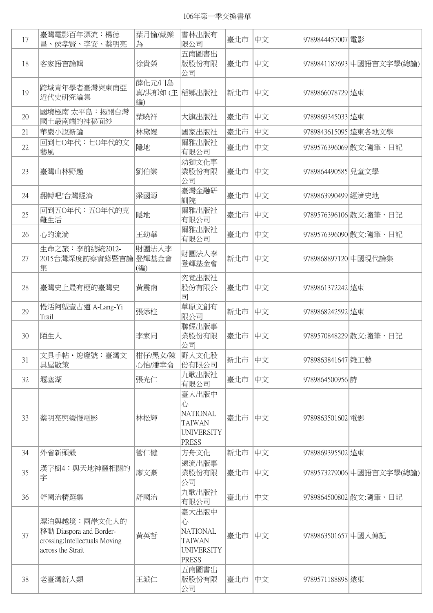106年第一季交換書單

| 17 | 臺灣電影百年漂流:楊德<br>昌、侯孝賢、李安、蔡明亮                                                                    | 葉月愉/戴樂<br>為                   | 書林出版有<br>限公司                                                                        | 臺北市 | 中文 | 9789844457007 電影    |                           |
|----|------------------------------------------------------------------------------------------------|-------------------------------|-------------------------------------------------------------------------------------|-----|----|---------------------|---------------------------|
| 18 | 客家語言論輯                                                                                         | 徐貴榮                           | 五南圖書出<br>版股份有限<br>公司                                                                | 臺北市 | 中文 |                     | 9789841187693 中國語言文字學(總論) |
| 19 | 跨域青年學者臺灣與東南亞<br>近代史研究論集                                                                        | 薛化元/川島<br>真/洪郁如(主 福鄉出版社<br>編) |                                                                                     | 新北市 | 中文 | 9789866078729 遠東    |                           |
| 20 | 國境極南 太平島:揭開台灣<br>國土最南端的神秘面紗                                                                    | 葉曉祥                           | 大旗出版社                                                                               | 臺北市 | 中文 | 9789869345033 遠東    |                           |
| 21 | 華嚴小說新論                                                                                         | 林黛嫚                           | 國家出版社                                                                               | 臺北市 | 中文 |                     | 9789843615095 遠東各地文學      |
| 22 | 回到七0年代:七0年代的文<br>藝風                                                                            | 隱地                            | 爾雅出版社<br>有限公司                                                                       | 臺北市 | 中文 |                     | 9789576396069   散文:隨筆、日記  |
| 23 | 臺灣山林野趣                                                                                         | 劉伯樂                           | 幼獅文化事<br>業股份有限<br>公司                                                                | 臺北市 | 中文 | 9789864490585 兒童文學  |                           |
| 24 | 翻轉吧!台灣經濟                                                                                       | 梁國源                           | 臺灣金融研<br>訓院                                                                         | 臺北市 | 中文 | 9789863990499 經濟史地  |                           |
| 25 | 回到五0年代:五0年代的克<br>難生活                                                                           | 隱地                            | 爾雅出版社<br>有限公司                                                                       | 臺北市 | 中文 |                     | 9789576396106 散文:隨筆、日記    |
| 26 | 心的流淌                                                                                           | 王幼華                           | 爾雅出版社<br>有限公司                                                                       | 臺北市 | 中文 |                     | 9789576396090 散文:隨筆、日記    |
| 27 | 生命之旅:李前總統2012-<br>2015台灣深度訪察實錄暨言論<br>集                                                         | 財團法人李<br>登輝基金會<br>(編)         | 財團法人李<br>登輝基金會                                                                      | 新北市 | 中文 |                     | 9789868897120 中國現代論集      |
| 28 | 臺灣史上最有梗的臺灣史                                                                                    | 黃震南                           | 究竟出版社<br>股份有限公<br>司                                                                 | 臺北市 | 中文 | 9789861372242 遠東    |                           |
| 29 | 慢活阿塱壹古道 A-Lang-Yi<br>Trail                                                                     | 張添柱                           | 草原文創有<br>限公司                                                                        | 新北市 | 中文 | 9789868242592 遠東    |                           |
| 30 | 陌生人                                                                                            | 李家同                           | 聯經出版事<br>業股份有限<br>公司                                                                | 臺北市 | 中文 |                     | 9789570848229 散文:隨筆、日記    |
| 31 | 文具手帖·熄燈號:臺灣文<br>具屋散策                                                                           | 柑仔/黑女/陳<br>心怡/潘幸侖             | 野人文化股<br>份有限公司                                                                      | 新北市 | 中文 | 9789863841647 雜工藝   |                           |
| 32 | 堰塞湖                                                                                            | 張光仁                           | 九歌出版社<br>有限公司                                                                       | 臺北市 | 中文 | 9789864500956 詩     |                           |
| 33 | 蔡明亮與緩慢電影                                                                                       | 林松輝                           | 臺大出版中<br>心<br><b>NATIONAL</b><br><b>TAIWAN</b><br><b>UNIVERSITY</b><br><b>PRESS</b> | 臺北市 | 中文 | 9789863501602 電影    |                           |
| 34 | 外省新頭殼                                                                                          | 管仁健                           | 方舟文化                                                                                | 新北市 | 中文 | 9789869395502 遠東    |                           |
| 35 | 漢字樹4:與天地神靈相關的<br>字                                                                             | 廖文豪                           | 遠流出版事<br>業股份有限<br>公司                                                                | 臺北市 | 中文 |                     | 9789573279006 中國語言文字學(總論) |
| 36 | 舒國治精選集                                                                                         | 舒國治                           | 九歌出版社<br>有限公司                                                                       | 臺北市 | 中文 |                     | 9789864500802   散文: 隨筆、日記 |
| 37 | 漂泊與越境:兩岸文化人的<br>移動 Diaspora and Border-<br>crossing: Intellectuals Moving<br>across the Strait | 黃英哲                           | 臺大出版中<br>心<br><b>NATIONAL</b><br><b>TAIWAN</b><br><b>UNIVERSITY</b><br><b>PRESS</b> | 臺北市 | 中文 | 9789863501657 中國人傳記 |                           |
| 38 | 老臺灣新人類                                                                                         | 王派仁                           | 五南圖書出<br>版股份有限<br>公司                                                                | 臺北市 | 中文 | 9789571188898 遠東    |                           |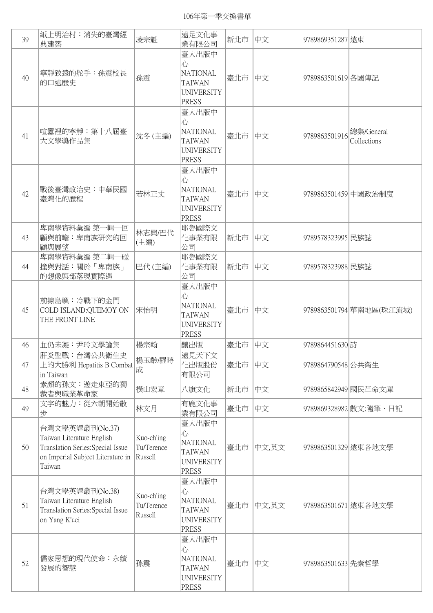106年第一季交換書單

| 39 | 紙上明治村: 消失的臺灣經<br>典建築                                                                                                             | 凌宗魁                                 | 遠足文化事<br>業有限公司                                                                      | 新北市 | 中文    | 9789869351287 遠東     |                           |
|----|----------------------------------------------------------------------------------------------------------------------------------|-------------------------------------|-------------------------------------------------------------------------------------|-----|-------|----------------------|---------------------------|
| 40 | 寧靜致遠的舵手:孫震校長<br>的口述歷史                                                                                                            | 孫震                                  | 臺大出版中<br>心<br><b>NATIONAL</b><br><b>TAIWAN</b><br><b>UNIVERSITY</b><br><b>PRESS</b> | 臺北市 | 中文    | 9789863501619 各國傳記   |                           |
| 41 | 喧囂裡的寧靜:第十八屆臺<br>大文學獎作品集                                                                                                          | 沈冬(主編)                              | 臺大出版中<br>心<br><b>NATIONAL</b><br><b>TAIWAN</b><br><b>UNIVERSITY</b><br><b>PRESS</b> | 臺北市 | 中文    | 9789863501916        | 總集/General<br>Collections |
| 42 | 戰後臺灣政治史:中華民國<br>臺灣化的歷程                                                                                                           | 若林正丈                                | 臺大出版中<br>心<br><b>NATIONAL</b><br><b>TAIWAN</b><br><b>UNIVERSITY</b><br><b>PRESS</b> | 臺北市 | 中文    | 9789863501459 中國政治制度 |                           |
| 43 | 卑南學資料彙編 第一輯一回<br>顧與前瞻:卑南族研究的回<br>顧與展望                                                                                            | 林志興/巴代<br>(主編)                      | 耶魯國際文<br>化事業有限<br>公司                                                                | 新北市 | 中文    | 9789578323995 民族誌    |                           |
| 44 | 卑南學資料彙編 第二輯一碰<br> 撞與對話:關於「卑南族」<br>的想像與部落現實際遇                                                                                     | 巴代(主編)                              | 耶魯國際文<br>化事業有限<br>公司                                                                | 新北市 | 中文    | 9789578323988 民族誌    |                           |
| 45 | 前線島嶼:冷戰下的金門<br>COLD ISLAND:QUEMOY ON<br>THE FRONT LINE                                                                           | 宋怡明                                 | 臺大出版中<br>心<br><b>NATIONAL</b><br><b>TAIWAN</b><br><b>UNIVERSITY</b><br><b>PRESS</b> | 臺北市 | 中文    |                      | 9789863501794 華南地區(珠江流域)  |
| 46 | 血仍未凝:尹玲文學論集                                                                                                                      | 楊宗翰                                 | 釀出版                                                                                 | 臺北市 | 中文    | 9789864451630 詩      |                           |
| 47 | 肝炎聖戰:台灣公共衛生史<br>上的大勝利 Hepatitis B Combat<br>in Taiwan                                                                            | 楊玉齡/羅時<br>成                         | 遠見天下文<br>化出版股份<br>有限公司                                                              | 臺北市 | 中文    | 9789864790548 公共衛生   |                           |
| 48 | 素顏的孫文:遊走東亞的獨<br>裁者與職業革命家                                                                                                         | 横山宏章                                | 八旗文化                                                                                | 新北市 | 中文    | 9789865842949 國民革命文庫 |                           |
| 49 | 文字的魅力:從六朝開始散<br>步                                                                                                                | 林文月                                 | 有鹿文化事<br>業有限公司                                                                      | 臺北市 | 中文    |                      | 9789869328982   散文:隨筆、日記  |
| 50 | 台灣文學英譯叢刊(No.37)<br>Taiwan Literature English<br>Translation Series: Special Issue<br>on Imperial Subject Literature in<br>Taiwan | Kuo-ch'ing<br>Tu/Terence<br>Russell | 臺大出版中<br>心<br><b>NATIONAL</b><br><b>TAIWAN</b><br><b>UNIVERSITY</b><br><b>PRESS</b> | 臺北市 | 中文,英文 | 9789863501329 遠東各地文學 |                           |
| 51 | 台灣文學英譯叢刊(No.38)<br>Taiwan Literature English<br>Translation Series: Special Issue<br>on Yang K'uei                               | Kuo-ch'ing<br>Tu/Terence<br>Russell | 臺大出版中<br>心<br>NATIONAL<br><b>TAIWAN</b><br><b>UNIVERSITY</b><br><b>PRESS</b>        | 臺北市 | 中文,英文 | 9789863501671 遠東各地文學 |                           |
| 52 | 儒家思想的現代使命:永續<br>發展的智慧                                                                                                            | 孫震                                  | 臺大出版中<br>心<br><b>NATIONAL</b><br><b>TAIWAN</b><br><b>UNIVERSITY</b><br><b>PRESS</b> | 臺北市 | 中文    | 9789863501633 先秦哲學   |                           |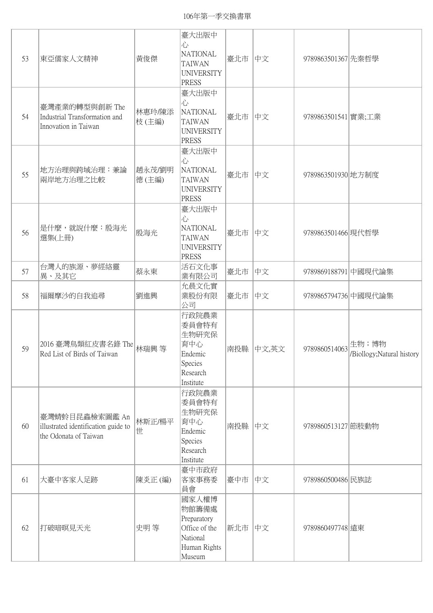| 53 | 東亞儒家人文精神                                                                       | 黃俊傑             | 臺大出版中<br>心<br><b>NATIONAL</b><br><b>TAIWAN</b><br><b>UNIVERSITY</b><br>PRESS         | 臺北市 | 中文    | 9789863501367 先秦哲學   |                                     |
|----|--------------------------------------------------------------------------------|-----------------|--------------------------------------------------------------------------------------|-----|-------|----------------------|-------------------------------------|
| 54 | 臺灣產業的轉型與創新 The<br>Industrial Transformation and<br>Innovation in Taiwan        | 林惠玲/陳添<br>枝(主編) | 臺大出版中<br>心<br><b>NATIONAL</b><br><b>TAIWAN</b><br><b>UNIVERSITY</b><br><b>PRESS</b>  | 臺北市 | 中文    | 9789863501541 實業;工業  |                                     |
| 55 | 地方治理與跨域治理:兼論<br>兩岸地方治理之比較                                                      | 趙永茂/劉明<br>德(主編) | 臺大出版中<br>心<br><b>NATIONAL</b><br><b>TAIWAN</b><br><b>UNIVERSITY</b><br>PRESS         | 臺北市 | 中文    | 9789863501930 地方制度   |                                     |
| 56 | 是什麼,就說什麼:殷海光<br>選集(上冊)                                                         | 殷海光             | 臺大出版中<br>心<br><b>NATIONAL</b><br><b>TAIWAN</b><br><b>UNIVERSITY</b><br><b>PRESS</b>  | 臺北市 | 中文    | 9789863501466 現代哲學   |                                     |
| 57 | 台灣人的族源、夢經絡靈<br>異、及其它                                                           | 蔡永東             | 活石文化事<br>業有限公司                                                                       | 臺北市 | 中文    | 9789869188791 中國現代論集 |                                     |
| 58 | 福爾摩沙的自我追尋                                                                      | 劉進興             | 允晨文化實<br>業股份有限<br>公司                                                                 | 臺北市 | 中文    | 9789865794736 中國現代論集 |                                     |
| 59 | 2016 臺灣鳥類紅皮書名錄 The<br>Red List of Birds of Taiwan                              | 林瑞興 等           | 行政院農業<br>委員會特有<br>生物研究保<br>育中心<br>Endemic<br>Species<br>Research<br>Institute        | 南投縣 | 中文,英文 | 9789860514063        | 生物;博物<br>/Biollogy; Natural history |
| 60 | 臺灣蜻蛉目昆蟲檢索圖鑑 An<br>illustrated identification guide to<br>the Odonata of Taiwan | 林斯正/楊平<br>世     | 行政院農業<br>委員會特有<br>生物研究保<br>育中心<br>Endemic<br>Species<br>Research<br>Institute        | 南投縣 | 中文    | 9789860513127 節肢動物   |                                     |
| 61 | 大臺中客家人足跡                                                                       | 陳炎正(編)          | 臺中市政府<br>客家事務委<br>員會                                                                 | 臺中市 | 中文    | 9789860500486 民族誌    |                                     |
| 62 | 打破暗暝見天光                                                                        | 史明等             | 國家人權博<br>物館籌備處<br>Preparatory<br>Office of the<br>National<br>Human Rights<br>Museum | 新北市 | 中文    | 9789860497748 遠東     |                                     |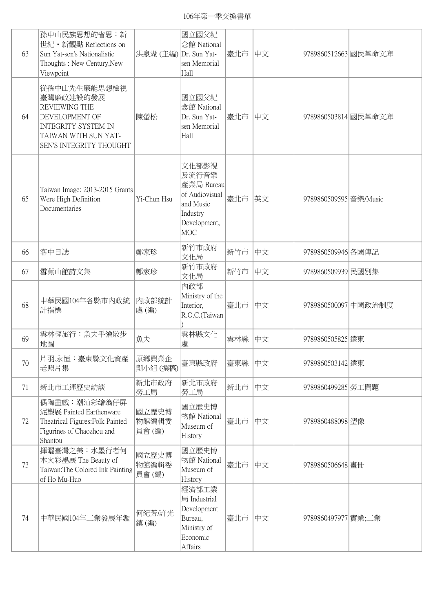| 63 | 孫中山民族思想的省思:新<br>世紀 • 新觀點 Reflections on<br>Sun Yat-sen's Nationalistic<br>Thoughts: New Century, New<br>Viewpoint                             | 洪泉湖 (主編) Dr. Sun Yat-   | 國立國父紀<br>念館 National<br>sen Memorial<br>Hall                                                          | 臺北市 | 中文 | 9789860512663 國民革命文庫  |  |
|----|-----------------------------------------------------------------------------------------------------------------------------------------------|-------------------------|-------------------------------------------------------------------------------------------------------|-----|----|-----------------------|--|
| 64 | 從孫中山先生廉能思想檢視<br>臺灣廉政建設的發展<br>REVIEWING THE<br>DEVELOPMENT OF<br><b>INTEGRITY SYSTEM IN</b><br>TAIWAN WITH SUN YAT-<br>SEN'S INTEGRITY THOUGHT | 陳螢松                     | 國立國父紀<br>念館 National<br>Dr. Sun Yat-<br>sen Memorial<br>Hall                                          | 臺北市 | 中文 | 9789860503814 國民革命文庫  |  |
| 65 | Taiwan Image: 2013-2015 Grants<br>Were High Definition<br>Documentaries                                                                       | Yi-Chun Hsu             | 文化部影視<br>及流行音樂<br>產業局 Bureau<br>of Audiovisual<br>and Music<br>Industry<br>Development,<br><b>MOC</b> | 臺北市 | 英文 | 9789860509595 音樂Music |  |
| 66 | 客中日誌                                                                                                                                          | 鄭家珍                     | 新竹市政府<br>文化局                                                                                          | 新竹市 | 中文 | 9789860509946 各國傳記    |  |
| 67 | 雪蕉山館詩文集                                                                                                                                       | 鄭家珍                     | 新竹市政府<br>文化局                                                                                          | 新竹市 | 中文 | 9789860509939 民國別集    |  |
| 68 | 中華民國104年各縣市內政統<br>計指標                                                                                                                         | 內政部統計<br>處(編)           | 內政部<br>Ministry of the<br>Interior,<br>R.O.C.(Taiwan                                                  | 臺北市 | 中文 | 9789860500097 中國政治制度  |  |
| 69 | 雲林輕旅行:魚夫手繪散步<br>地圖                                                                                                                            | 魚夫                      | 雲林縣文化<br>處                                                                                            | 雲林縣 | 中文 | 9789860505825 遠東      |  |
| 70 | 片羽.永恒:臺東縣文化資產<br>老照片集                                                                                                                         | 原鄉興業企<br>劃小組(撰稿)        | 臺東縣政府                                                                                                 | 臺東縣 | 中文 | 9789860503142 遠東      |  |
| 71 | 新北市工運歷史訪談                                                                                                                                     | 新北市政府<br>勞工局            | 新北市政府<br>勞工局                                                                                          | 新北市 | 中文 | 9789860499285 勞工問題    |  |
| 72 | 偶陶畫戲:潮汕彩繪翁仔屏<br>泥塑展 Painted Earthenware<br>Theatrical Figures: Folk Painted<br>Figurines of Chaozhou and<br>Shantou                           | 國立歷史博<br>物館編輯委<br>員會(編) | 國立歷史博<br>物館 National<br>Museum of<br>History                                                          | 臺北市 | 中文 | 9789860488098 塑像      |  |
| 73 | 揮灑臺灣之美:水墨行者何<br>木火彩墨展 The Beauty of<br>Taiwan: The Colored Ink Painting<br>of Ho Mu-Huo                                                       | 國立歷史博<br>物館編輯委<br>員會(編) | 國立歷史博<br>物館 National<br>Museum of<br>History                                                          | 臺北市 | 中文 | 9789860506648 畫冊      |  |
| 74 | 中華民國104年工業發展年鑑                                                                                                                                | 何紀芳/許光<br>鎮(編)          | 經濟部工業<br>局 Industrial<br>Development<br>Bureau,<br>Ministry of<br>Economic<br>Affairs                 | 臺北市 | 中文 | 9789860497977 實業;工業   |  |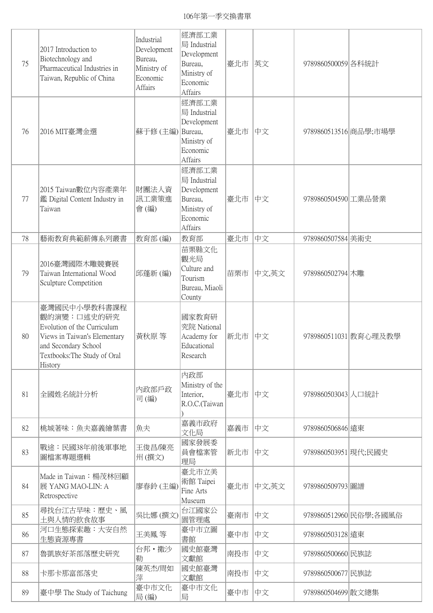106年第一季交換書單

| 75 | 2017 Introduction to<br>Biotechnology and<br>Pharmaceutical Industries in<br>Taiwan, Republic of China                                                        | Industrial<br>Development<br>Bureau,<br>Ministry of<br>Economic<br>Affairs | 經濟部工業<br>局 Industrial<br>Development<br>Bureau,<br>Ministry of<br>Economic<br>Affairs | 臺北市 | 英文    | 9789860500059 各科統計   |                        |
|----|---------------------------------------------------------------------------------------------------------------------------------------------------------------|----------------------------------------------------------------------------|---------------------------------------------------------------------------------------|-----|-------|----------------------|------------------------|
| 76 | 2016 MIT臺灣金選                                                                                                                                                  | 蘇于修 (主編) Bureau,                                                           | 經濟部工業<br>局 Industrial<br>Development<br>Ministry of<br>Economic<br>Affairs            | 臺北市 | 中文    |                      | 9789860513516 商品學;市場學  |
| 77 | 2015 Taiwan數位內容產業年<br>鑑 Digital Content Industry in<br>Taiwan                                                                                                 | 財團法人資<br>訊工業策進<br>會(編)                                                     | 經濟部工業<br>局 Industrial<br>Development<br>Bureau,<br>Ministry of<br>Economic<br>Affairs | 臺北市 | 中文    | 9789860504590 工業品營業  |                        |
| 78 | 藝術教育典範薪傳系列叢書                                                                                                                                                  | 教育部(編)                                                                     | 教育部                                                                                   | 臺北市 | 中文    | 9789860507584 美術史    |                        |
| 79 | 2016臺灣國際木雕競賽展<br>Taiwan International Wood<br>Sculpture Competition                                                                                           | 邱蓬新(編)                                                                     | 苗栗縣文化<br>觀光局<br>Culture and<br>Tourism<br>Bureau, Miaoli<br>County                    | 苗栗市 | 中文,英文 | 9789860502794 木雕     |                        |
| 80 | 臺灣國民中小學教科書課程<br>觀的演變:口述史的研究<br>Evolution of the Curriculum<br>Views in Taiwan's Elementary<br>and Secondary School<br>Textbooks: The Study of Oral<br>History | 黃秋原 等                                                                      | 國家教育研<br>究院 National<br>Academy for<br>Educational<br>Research                        | 新北市 | 中文    |                      | 9789860511031 教育心理及教學  |
| 81 | 全國姓名統計分析                                                                                                                                                      | 内政部戶政<br>司(編)                                                              | 内政部<br>Ministry of the<br>Interior,<br>R.O.C.(Taiwan                                  | 臺北市 | 中文    | 9789860503043 人口統計   |                        |
| 82 | 桃城著味:魚夫嘉義繪葉書                                                                                                                                                  | 魚夫                                                                         | 嘉義市政府<br>文化局                                                                          | 嘉義市 | 中文    | 9789860506846 遠東     |                        |
| 83 | 戰途:民國38年前後軍事地<br>圖檔案專題選輯                                                                                                                                      | 王俊昌/陳亮<br>州(撰文)                                                            | 國家發展委<br>員會檔案管<br>理局                                                                  | 新北市 | 中文    | 9789860503951 現代;民國史 |                        |
| 84 | Made in Taiwan: 楊茂林回顧<br>展 YANG MAO-LIN: A<br>Retrospective                                                                                                   | 廖春鈴 (主編)                                                                   | 臺北市立美<br>術館 Taipei<br>Fine Arts<br>Museum                                             | 臺北市 | 中文,英文 | 9789860509793 圖譜     |                        |
| 85 | 尋找台江古早味:歷史、風<br>土與人情的飲食故事                                                                                                                                     | 吳比娜 (撰文)                                                                   | 台江國家公<br>園管理處                                                                         | 臺南市 | 中文    |                      | 9789860512960 民俗學;各國風俗 |
| 86 | 河口生態探索趣:大安自然<br>生態資源專書                                                                                                                                        | 王美鳳 等                                                                      | 臺中市立圖<br>書館                                                                           | 臺中市 | 中文    | 9789860503128 遠東     |                        |
| 87 | 魯凱族好茶部落歷史研究                                                                                                                                                   | 台邦·撒沙<br>勒                                                                 | 國史館臺灣<br>文獻館                                                                          | 南投市 | 中文    | 9789860500660 民族誌    |                        |
| 88 | 卡那卡那富部落史                                                                                                                                                      | 陳英杰/周如<br>萍                                                                | 國史館臺灣<br>文獻館                                                                          | 南投市 | 中文    | 9789860500677 民族誌    |                        |
| 89 | 臺中學 The Study of Taichung                                                                                                                                     | 臺中市文化<br>局(編)                                                              | 臺中市文化<br>局                                                                            | 臺中市 | 中文    | 9789860504699   散文總集 |                        |
|    |                                                                                                                                                               |                                                                            |                                                                                       |     |       |                      |                        |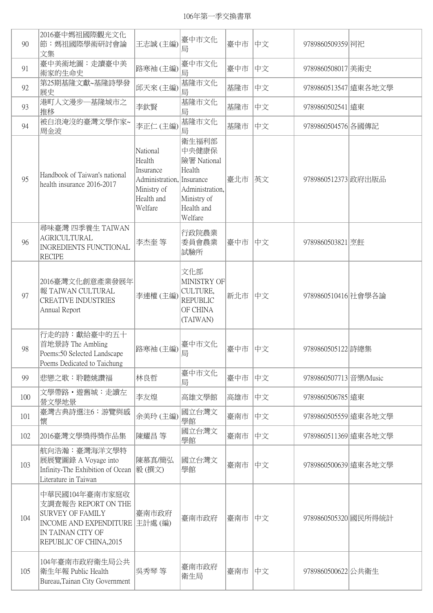## 106年第一季交換書單

| 90  | 2016臺中媽祖國際觀光文化<br> 節:媽祖國際學術研討會論<br>文集                                                                                                             | 王志誠(主編)                                                                                              | 臺中市文化<br>局                                                                                         | 臺中市 | 中文 | 9789860509359闭祀        |                      |
|-----|---------------------------------------------------------------------------------------------------------------------------------------------------|------------------------------------------------------------------------------------------------------|----------------------------------------------------------------------------------------------------|-----|----|------------------------|----------------------|
| 91  | 臺中美術地圖:走讀臺中美<br>術家的生命史                                                                                                                            | 路寒袖(主編)                                                                                              | 臺中市文化<br>局                                                                                         | 臺中市 | 中文 | 9789860508017 美術史      |                      |
| 92  | 第25期基隆文獻~基隆詩學發<br>展史                                                                                                                              | 邱天來(主編)                                                                                              | 基隆市文化<br>局                                                                                         | 基隆市 | 中文 | 9789860513547 遠東各地文學   |                      |
| 93  | 港町人文漫步一基隆城市之<br>推移                                                                                                                                | 李欽賢                                                                                                  | 基隆市文化<br>局                                                                                         | 基隆市 | 中文 | 9789860502541 遠東       |                      |
| 94  | 被白浪淹沒的臺灣文學作家~<br>周金波                                                                                                                              | 李正仁(主編)                                                                                              | 基隆市文化<br>局                                                                                         | 基隆市 | 中文 | 9789860504576 各國傳記     |                      |
| 95  | Handbook of Taiwan's national<br>health insurance 2016-2017                                                                                       | National<br>Health<br>Insurance<br>Administration, Insurance<br>Ministry of<br>Health and<br>Welfare | 衛生福利部<br>中央健康保<br>險署 National<br>Health<br>Administration,<br>Ministry of<br>Health and<br>Welfare | 臺北市 | 英文 | 9789860512373 政府出版品    |                      |
| 96  | 尋味臺灣 四季養生 TAIWAN<br>AGRICULTURAL<br><b>INGREDIENTS FUNCTIONAL</b><br><b>RECIPE</b>                                                                | 李杰奎 等                                                                                                | 行政院農業<br>委員會農業<br>試驗所                                                                              | 臺中市 | 中文 | 9789860503821 烹飪       |                      |
| 97  | 2016臺灣文化創意產業發展年<br>報 TAIWAN CULTURAL<br><b>CREATIVE INDUSTRIES</b><br>Annual Report                                                               | 李連權(主編)                                                                                              | 文化部<br>MINISTRY OF<br>CULTURE,<br><b>REPUBLIC</b><br>OF CHINA<br>(TAIWAN)                          | 新北市 | 中文 | 9789860510416 社會學各論    |                      |
| 98  | 行走的詩:獻給臺中的五十<br>首地景詩 The Ambling<br>Poems: 50 Selected Landscape<br>Poems Dedicated to Taichung                                                   | 路寒袖(主編)                                                                                              | 臺中市文化<br>局                                                                                         | 臺中市 | 中文 | 9789860505122 詩總集      |                      |
| 99  | 悲戀之歌:聆聽姚讚福                                                                                                                                        | 林良哲                                                                                                  | 臺中市文化<br>局                                                                                         | 臺中市 | 中文 | 9789860507713 音樂/Music |                      |
| 100 | 文學帶路 · 遊舊城: 走讀左<br>營文學地景                                                                                                                          | 李友煌                                                                                                  | 高雄文學館                                                                                              | 高雄市 | 中文 | 9789860506785 遠東       |                      |
| 101 | 臺灣古典詩選注6:游覽與感<br>懷                                                                                                                                | 余美玲(主編)                                                                                              | 國立台灣文<br>學館                                                                                        | 臺南市 | 中文 |                        | 9789860505559 遠東各地文學 |
| 102 | 2016臺灣文學獎得獎作品集                                                                                                                                    | 陳耀昌 等                                                                                                | 國立台灣文<br>學館                                                                                        | 臺南市 | 中文 |                        | 9789860511369 遠東各地文學 |
| 103 | 航向浩瀚:臺灣海洋文學特<br>展展覽圖錄 A Voyage into<br>Infinity-The Exhibition of Ocean<br>Literature in Taiwan                                                   | 陳慕真/簡弘<br> 毅(撰文)                                                                                     | 國立台灣文<br>學館                                                                                        | 臺南市 | 中文 |                        | 9789860500639 遠東各地文學 |
| 104 | 中華民國104年臺南市家庭收<br>支調查報告 REPORT ON THE<br><b>SURVEY OF FAMILY</b><br><b>INCOME AND EXPENDITURE</b><br>IN TAINAN CITY OF<br>REPUBLIC OF CHINA, 2015 | 臺南市政府<br>主計處(編)                                                                                      | 臺南市政府                                                                                              | 臺南市 | 中文 |                        | 9789860505320 國民所得統計 |
| 105 | 104年臺南市政府衛生局公共<br>衛生年報 Public Health<br>Bureau, Tainan City Government                                                                            | 吳秀琴 等                                                                                                | 臺南市政府<br>衛生局                                                                                       | 臺南市 | 中文 | 9789860500622 公共衛生     |                      |